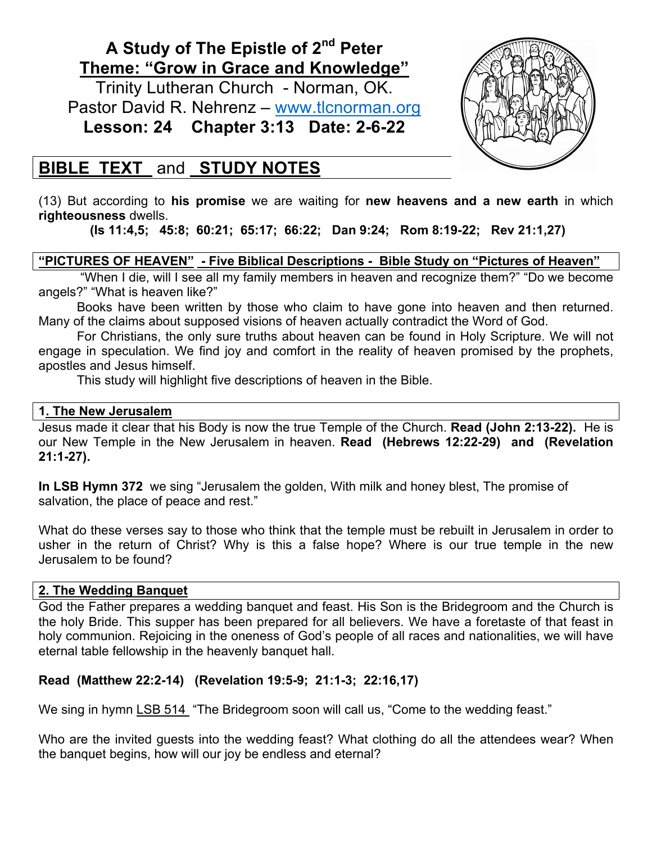# **A Study of The Epistle of 2nd Peter Theme: "Grow in Grace and Knowledge"**

Trinity Lutheran Church - Norman, OK. Pastor David R. Nehrenz - www.tlcnorman.org **Lesson: 24 Chapter 3:13 Date: 2-6-22**



## **BIBLE TEXT** and **STUDY NOTES**

(13) But according to **his promise** we are waiting for **new heavens and a new earth** in which **righteousness** dwells.

**(Is 11:4,5; 45:8; 60:21; 65:17; 66:22; Dan 9:24; Rom 8:19-22; Rev 21:1,27)**

**"PICTURES OF HEAVEN" - Five Biblical Descriptions - Bible Study on "Pictures of Heaven"**

 "When I die, will I see all my family members in heaven and recognize them?" "Do we become angels?" "What is heaven like?"

Books have been written by those who claim to have gone into heaven and then returned. Many of the claims about supposed visions of heaven actually contradict the Word of God.

For Christians, the only sure truths about heaven can be found in Holy Scripture. We will not engage in speculation. We find joy and comfort in the reality of heaven promised by the prophets, apostles and Jesus himself.

This study will highlight five descriptions of heaven in the Bible.

## **1. The New Jerusalem**

Jesus made it clear that his Body is now the true Temple of the Church. **Read (John 2:13-22).** He is our New Temple in the New Jerusalem in heaven. **Read (Hebrews 12:22-29) and (Revelation 21:1-27).**

**In LSB Hymn 372** we sing "Jerusalem the golden, With milk and honey blest, The promise of salvation, the place of peace and rest."

What do these verses say to those who think that the temple must be rebuilt in Jerusalem in order to usher in the return of Christ? Why is this a false hope? Where is our true temple in the new Jerusalem to be found?

## **2. The Wedding Banquet**

God the Father prepares a wedding banquet and feast. His Son is the Bridegroom and the Church is the holy Bride. This supper has been prepared for all believers. We have a foretaste of that feast in holy communion. Rejoicing in the oneness of God's people of all races and nationalities, we will have eternal table fellowship in the heavenly banquet hall.

## **Read (Matthew 22:2-14) (Revelation 19:5-9; 21:1-3; 22:16,17)**

We sing in hymn LSB 514 "The Bridegroom soon will call us, "Come to the wedding feast."

Who are the invited guests into the wedding feast? What clothing do all the attendees wear? When the banquet begins, how will our joy be endless and eternal?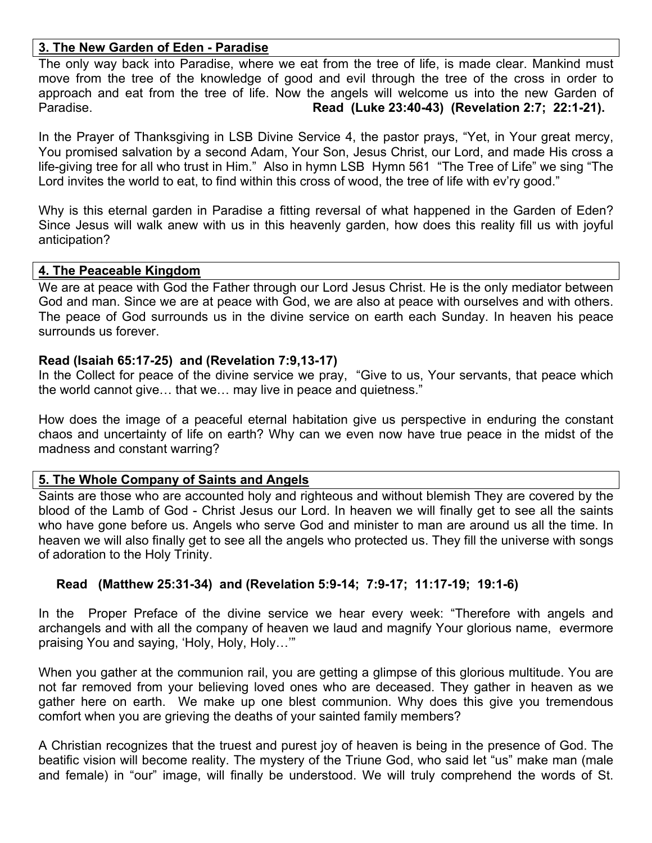#### **3. The New Garden of Eden - Paradise**

The only way back into Paradise, where we eat from the tree of life, is made clear. Mankind must move from the tree of the knowledge of good and evil through the tree of the cross in order to approach and eat from the tree of life. Now the angels will welcome us into the new Garden of Paradise. **Read (Luke 23:40-43) (Revelation 2:7; 22:1-21).** 

In the Prayer of Thanksgiving in LSB Divine Service 4, the pastor prays, "Yet, in Your great mercy, You promised salvation by a second Adam, Your Son, Jesus Christ, our Lord, and made His cross a life-giving tree for all who trust in Him." Also in hymn LSB Hymn 561 "The Tree of Life" we sing "The Lord invites the world to eat, to find within this cross of wood, the tree of life with ev'ry good."

Why is this eternal garden in Paradise a fitting reversal of what happened in the Garden of Eden? Since Jesus will walk anew with us in this heavenly garden, how does this reality fill us with joyful anticipation?

#### **4. The Peaceable Kingdom**

We are at peace with God the Father through our Lord Jesus Christ. He is the only mediator between God and man. Since we are at peace with God, we are also at peace with ourselves and with others. The peace of God surrounds us in the divine service on earth each Sunday. In heaven his peace surrounds us forever.

#### **Read (Isaiah 65:17-25) and (Revelation 7:9,13-17)**

In the Collect for peace of the divine service we pray, "Give to us, Your servants, that peace which the world cannot give… that we… may live in peace and quietness."

How does the image of a peaceful eternal habitation give us perspective in enduring the constant chaos and uncertainty of life on earth? Why can we even now have true peace in the midst of the madness and constant warring?

#### **5. The Whole Company of Saints and Angels**

Saints are those who are accounted holy and righteous and without blemish They are covered by the blood of the Lamb of God - Christ Jesus our Lord. In heaven we will finally get to see all the saints who have gone before us. Angels who serve God and minister to man are around us all the time. In heaven we will also finally get to see all the angels who protected us. They fill the universe with songs of adoration to the Holy Trinity.

#### **Read (Matthew 25:31-34) and (Revelation 5:9-14; 7:9-17; 11:17-19; 19:1-6)**

In the Proper Preface of the divine service we hear every week: "Therefore with angels and archangels and with all the company of heaven we laud and magnify Your glorious name, evermore praising You and saying, 'Holy, Holy, Holy…'"

When you gather at the communion rail, you are getting a glimpse of this glorious multitude. You are not far removed from your believing loved ones who are deceased. They gather in heaven as we gather here on earth. We make up one blest communion. Why does this give you tremendous comfort when you are grieving the deaths of your sainted family members?

A Christian recognizes that the truest and purest joy of heaven is being in the presence of God. The beatific vision will become reality. The mystery of the Triune God, who said let "us" make man (male and female) in "our" image, will finally be understood. We will truly comprehend the words of St.